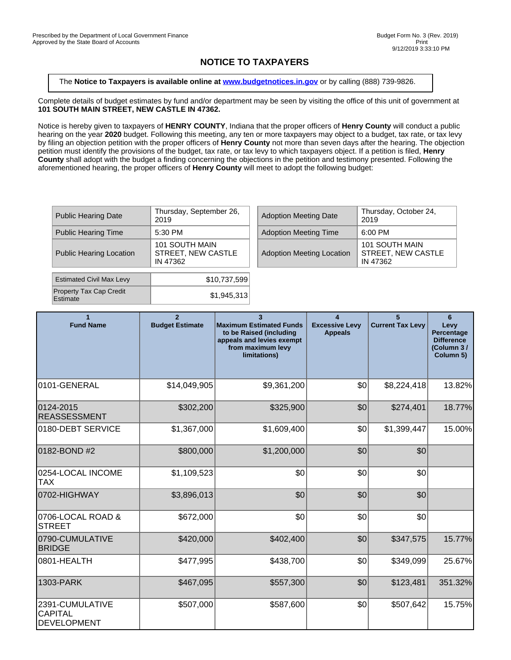## **NOTICE TO TAXPAYERS**

The **Notice to Taxpayers is available online at [www.budgetnotices.in.gov](http://budgetnotices.in.gov/)** or by calling (888) 739-9826.

Complete details of budget estimates by fund and/or department may be seen by visiting the office of this unit of government at **101 SOUTH MAIN STREET, NEW CASTLE IN 47362.**

Notice is hereby given to taxpayers of **HENRY COUNTY**, Indiana that the proper officers of **Henry County** will conduct a public hearing on the year **2020** budget. Following this meeting, any ten or more taxpayers may object to a budget, tax rate, or tax levy by filing an objection petition with the proper officers of **Henry County** not more than seven days after the hearing. The objection petition must identify the provisions of the budget, tax rate, or tax levy to which taxpayers object. If a petition is filed, **Henry County** shall adopt with the budget a finding concerning the objections in the petition and testimony presented. Following the aforementioned hearing, the proper officers of **Henry County** will meet to adopt the following budget:

| <b>Public Hearing Date</b>                 | Thursday, September 26,<br>2019                  |  | <b>Adoption Meeting Date</b>     | Thursda<br>2019                      |
|--------------------------------------------|--------------------------------------------------|--|----------------------------------|--------------------------------------|
| <b>Public Hearing Time</b>                 | 5:30 PM                                          |  | <b>Adoption Meeting Time</b>     | 6:00 PM                              |
| <b>Public Hearing Location</b>             | 101 SOUTH MAIN<br>STREET, NEW CASTLE<br>IN 47362 |  | <b>Adoption Meeting Location</b> | 101 SOL<br><b>STREET</b><br>IN 47362 |
| <b>Estimated Civil Max Levy</b>            | \$10,737,599                                     |  |                                  |                                      |
| <b>Property Tax Cap Credit</b><br>Estimate | \$1,945,313                                      |  |                                  |                                      |

| Thursday, September 26,<br>2019                  | <b>Adoption Meeting Date</b>     | Thursday, October 24,<br>2019                    |
|--------------------------------------------------|----------------------------------|--------------------------------------------------|
| 5:30 PM                                          | <b>Adoption Meeting Time</b>     | 6:00 PM                                          |
| 101 SOUTH MAIN<br>STREET, NEW CASTLE<br>IN 47362 | <b>Adoption Meeting Location</b> | 101 SOUTH MAIN<br>STREET. NEW CASTLE<br>IN 47362 |

| <b>Fund Name</b>                                        | <b>Budget Estimate</b> | <b>Maximum Estimated Funds</b><br>to be Raised (including<br>appeals and levies exempt<br>from maximum levy<br>limitations) | $\overline{\mathbf{A}}$<br><b>Excessive Levy</b><br><b>Appeals</b> | <b>Current Tax Levy</b> | 6<br>Levy<br>Percentage<br><b>Difference</b><br>(Column 3/<br>Column 5) |
|---------------------------------------------------------|------------------------|-----------------------------------------------------------------------------------------------------------------------------|--------------------------------------------------------------------|-------------------------|-------------------------------------------------------------------------|
| 0101-GENERAL                                            | \$14,049,905           | \$9,361,200                                                                                                                 | \$0                                                                | \$8,224,418             | 13.82%                                                                  |
| 0124-2015<br><b>REASSESSMENT</b>                        | \$302,200              | \$325,900                                                                                                                   | \$0                                                                | \$274,401               | 18.77%                                                                  |
| 0180-DEBT SERVICE                                       | \$1,367,000            | \$1,609,400                                                                                                                 | \$0                                                                | \$1,399,447             | 15.00%                                                                  |
| 0182-BOND #2                                            | \$800,000              | \$1,200,000                                                                                                                 | \$0                                                                | \$0                     |                                                                         |
| 0254-LOCAL INCOME<br><b>TAX</b>                         | \$1,109,523            | \$0                                                                                                                         | \$0                                                                | \$0                     |                                                                         |
| 0702-HIGHWAY                                            | \$3,896,013            | \$0                                                                                                                         | \$0                                                                | \$0                     |                                                                         |
| 0706-LOCAL ROAD &<br><b>STREET</b>                      | \$672,000              | \$0                                                                                                                         | \$0                                                                | \$0                     |                                                                         |
| 0790-CUMULATIVE<br><b>BRIDGE</b>                        | \$420,000              | \$402,400                                                                                                                   | \$0                                                                | \$347,575               | 15.77%                                                                  |
| 0801-HEALTH                                             | \$477,995              | \$438,700                                                                                                                   | \$0                                                                | \$349,099               | 25.67%                                                                  |
| 1303-PARK                                               | \$467,095              | \$557,300                                                                                                                   | \$0                                                                | \$123,481               | 351.32%                                                                 |
| 2391-CUMULATIVE<br><b>CAPITAL</b><br><b>DEVELOPMENT</b> | \$507,000              | \$587,600                                                                                                                   | \$0                                                                | \$507,642               | 15.75%                                                                  |